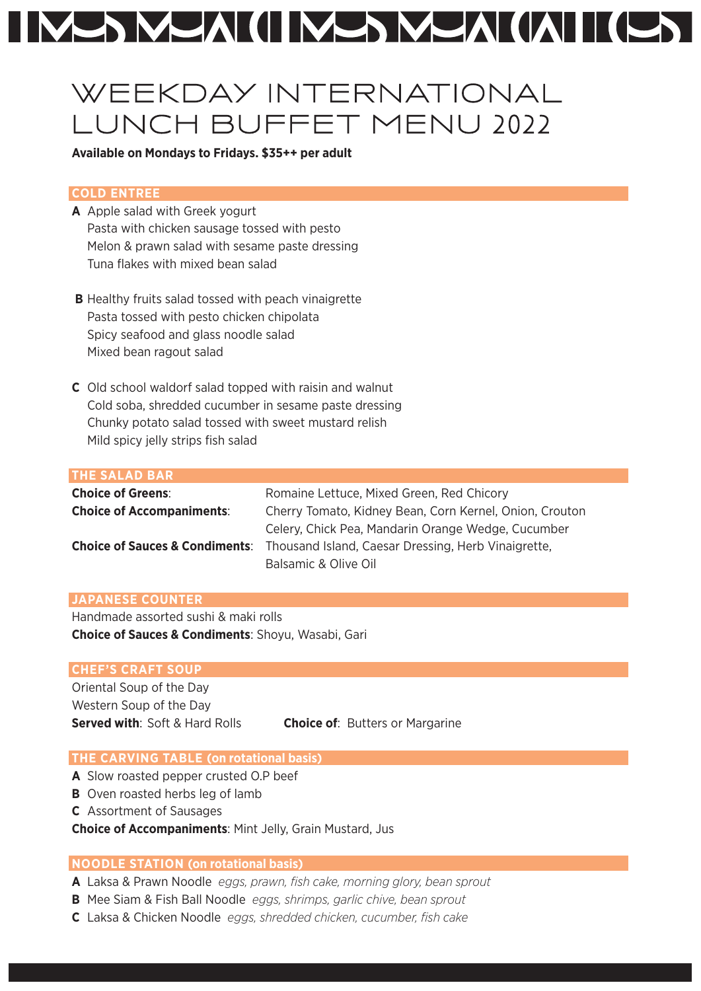# MANAM (II NANAMA (IAI II (LAI

# WEEKDAY INTERNATIONAL LUNCH BUFFET MENU 2022

## **Available on Mondays to Fridays. \$35++ per adult**

## **COLD ENTREE**

- **A** Apple salad with Greek yogurt Pasta with chicken sausage tossed with pesto Melon & prawn salad with sesame paste dressing Tuna flakes with mixed bean salad
- **B** Healthy fruits salad tossed with peach vinaigrette Pasta tossed with pesto chicken chipolata Spicy seafood and glass noodle salad Mixed bean ragout salad
- **C** Old school waldorf salad topped with raisin and walnut Cold soba, shredded cucumber in sesame paste dressing Chunky potato salad tossed with sweet mustard relish Mild spicy jelly strips fish salad

#### **THE SALAD BAR**

| <b>Choice of Greens:</b>                  | Romaine Lettuce, Mixed Green, Red Chicory               |
|-------------------------------------------|---------------------------------------------------------|
| <b>Choice of Accompaniments:</b>          | Cherry Tomato, Kidney Bean, Corn Kernel, Onion, Crouton |
|                                           | Celery, Chick Pea, Mandarin Orange Wedge, Cucumber      |
| <b>Choice of Sauces &amp; Condiments:</b> | Thousand Island, Caesar Dressing, Herb Vinaigrette,     |
|                                           | Balsamic & Olive Oil                                    |

## **JAPANESE COUNTER**

Handmade assorted sushi & maki rolls **Choice of Sauces & Condiments**: Shoyu, Wasabi, Gari

#### **CHEF'S CRAFT SOUP**

Oriental Soup of the Day Western Soup of the Day

**Served with**: Soft & Hard Rolls **Choice of**: Butters or Margarine

#### **THE CARVING TABLE (on rotational basis)**

- **A** Slow roasted pepper crusted O.P beef
- **B** Oven roasted herbs leg of lamb
- **C** Assortment of Sausages

**Choice of Accompaniments**: Mint Jelly, Grain Mustard, Jus

# **NOODLE STATION (on rotational basis)**

- **A** Laksa & Prawn Noodle *eggs, prawn, fish cake, morning glory, bean sprout*
- **B** Mee Siam & Fish Ball Noodle *eggs, shrimps, garlic chive, bean sprout*
- **C** Laksa & Chicken Noodle *eggs, shredded chicken, cucumber, fish cake*